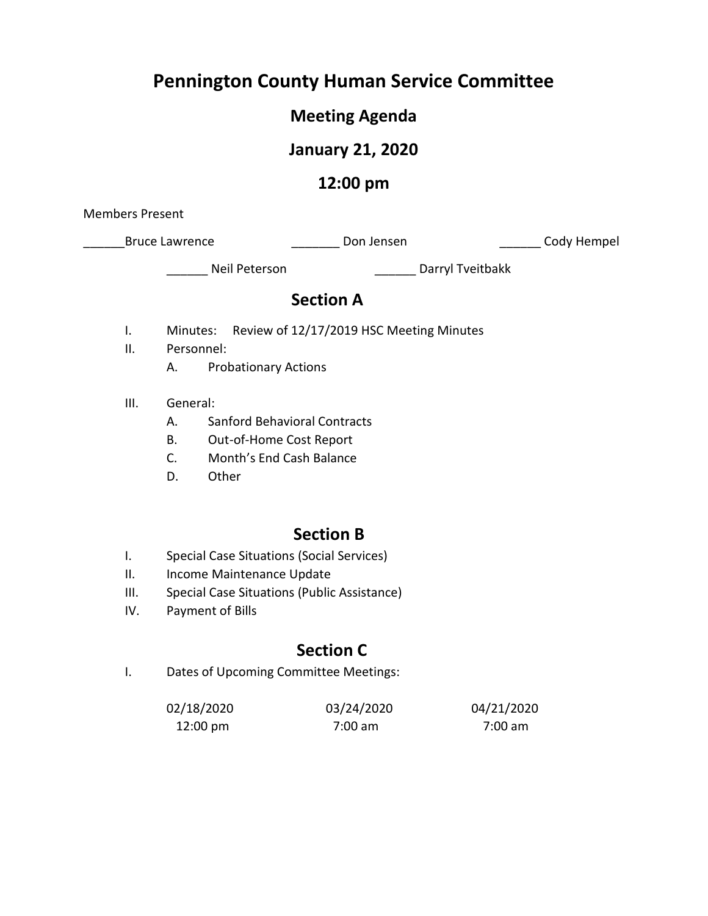# **Pennington County Human Service Committee**

# **Meeting Agenda**

# **January 21, 2020**

## **12:00 pm**

Members Present

\_Bruce Lawrence \_\_\_\_\_\_\_\_\_\_\_\_\_\_\_\_\_\_\_ Don Jensen \_\_\_\_\_\_\_\_\_\_\_\_\_\_\_\_\_\_\_\_\_ Cody Hempel

\_\_\_\_\_\_ Neil Peterson \_\_\_\_\_\_ Darryl Tveitbakk

## **Section A**

- I. Minutes: Review of 12/17/2019 HSC Meeting Minutes
- II. Personnel:
	- A. Probationary Actions
- III. General:
	- A. Sanford Behavioral Contracts
	- B. Out-of-Home Cost Report
	- C. Month's End Cash Balance
	- D. Other

## **Section B**

- I. Special Case Situations (Social Services)
- II. Income Maintenance Update
- III. Special Case Situations (Public Assistance)
- IV. Payment of Bills

# **Section C**

I. Dates of Upcoming Committee Meetings:

| 02/18/2020         | 03/24/2020        | 04/21/2020 |
|--------------------|-------------------|------------|
| $12:00 \text{ pm}$ | $7:00 \text{ am}$ | 7:00 am    |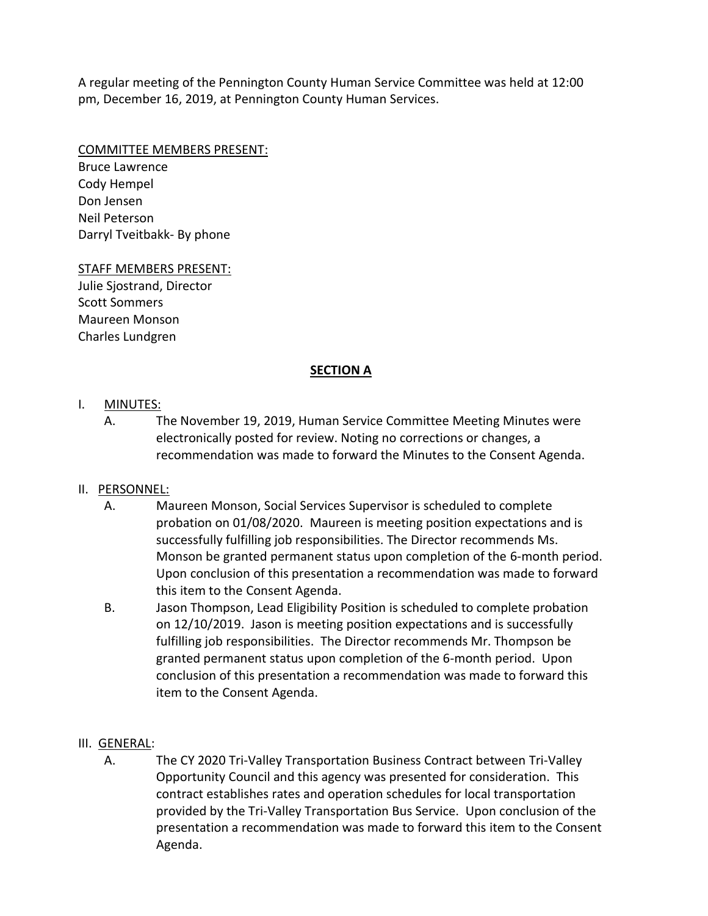A regular meeting of the Pennington County Human Service Committee was held at 12:00 pm, December 16, 2019, at Pennington County Human Services.

#### COMMITTEE MEMBERS PRESENT:

Bruce Lawrence Cody Hempel Don Jensen Neil Peterson Darryl Tveitbakk- By phone

STAFF MEMBERS PRESENT: Julie Sjostrand, Director

Scott Sommers Maureen Monson Charles Lundgren

#### **SECTION A**

#### I. MINUTES:

A. The November 19, 2019, Human Service Committee Meeting Minutes were electronically posted for review. Noting no corrections or changes, a recommendation was made to forward the Minutes to the Consent Agenda.

### II. PERSONNEL:

- A. Maureen Monson, Social Services Supervisor is scheduled to complete probation on 01/08/2020. Maureen is meeting position expectations and is successfully fulfilling job responsibilities. The Director recommends Ms. Monson be granted permanent status upon completion of the 6-month period. Upon conclusion of this presentation a recommendation was made to forward this item to the Consent Agenda.
- B. Jason Thompson, Lead Eligibility Position is scheduled to complete probation on 12/10/2019. Jason is meeting position expectations and is successfully fulfilling job responsibilities. The Director recommends Mr. Thompson be granted permanent status upon completion of the 6-month period. Upon conclusion of this presentation a recommendation was made to forward this item to the Consent Agenda.
- III. GENERAL:
	- A. The CY 2020 Tri-Valley Transportation Business Contract between Tri-Valley Opportunity Council and this agency was presented for consideration. This contract establishes rates and operation schedules for local transportation provided by the Tri-Valley Transportation Bus Service. Upon conclusion of the presentation a recommendation was made to forward this item to the Consent Agenda.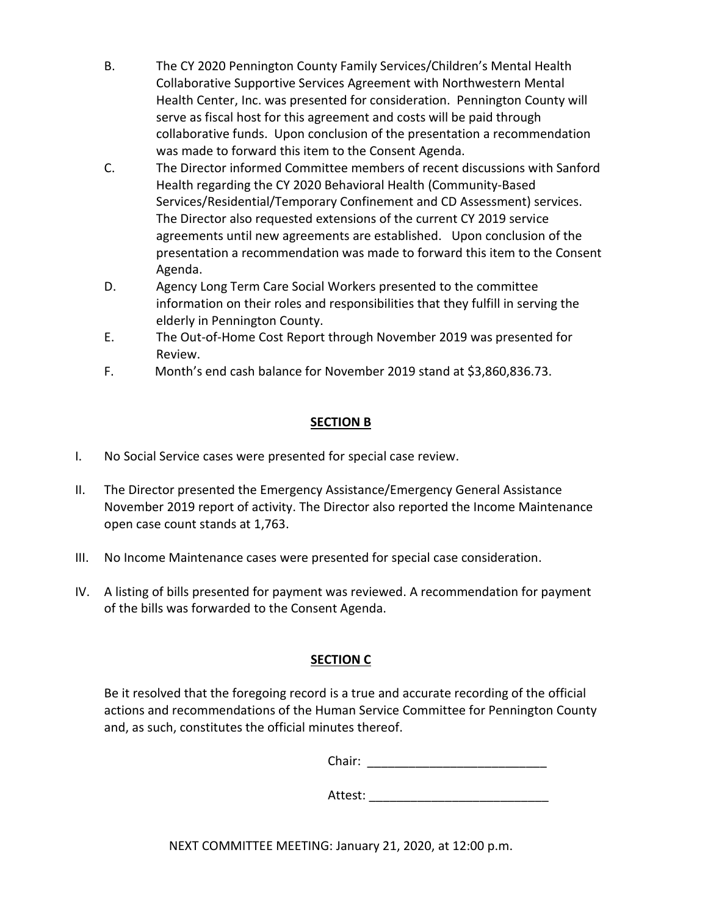- B. The CY 2020 Pennington County Family Services/Children's Mental Health Collaborative Supportive Services Agreement with Northwestern Mental Health Center, Inc. was presented for consideration. Pennington County will serve as fiscal host for this agreement and costs will be paid through collaborative funds. Upon conclusion of the presentation a recommendation was made to forward this item to the Consent Agenda.
- C. The Director informed Committee members of recent discussions with Sanford Health regarding the CY 2020 Behavioral Health (Community-Based Services/Residential/Temporary Confinement and CD Assessment) services. The Director also requested extensions of the current CY 2019 service agreements until new agreements are established. Upon conclusion of the presentation a recommendation was made to forward this item to the Consent Agenda.
- D. Agency Long Term Care Social Workers presented to the committee information on their roles and responsibilities that they fulfill in serving the elderly in Pennington County.
- E. The Out-of-Home Cost Report through November 2019 was presented for Review.
- F. Month's end cash balance for November 2019 stand at \$3,860,836.73.

### **SECTION B**

- I. No Social Service cases were presented for special case review.
- II. The Director presented the Emergency Assistance/Emergency General Assistance November 2019 report of activity. The Director also reported the Income Maintenance open case count stands at 1,763.
- III. No Income Maintenance cases were presented for special case consideration.
- IV. A listing of bills presented for payment was reviewed. A recommendation for payment of the bills was forwarded to the Consent Agenda.

### **SECTION C**

Be it resolved that the foregoing record is a true and accurate recording of the official actions and recommendations of the Human Service Committee for Pennington County and, as such, constitutes the official minutes thereof.

Chair: \_\_\_\_\_\_\_\_\_\_\_\_\_\_\_\_\_\_\_\_\_\_\_\_\_\_

Attest: \_\_\_\_\_\_\_\_\_\_\_\_\_\_\_\_\_\_\_\_\_\_\_\_\_\_

NEXT COMMITTEE MEETING: January 21, 2020, at 12:00 p.m.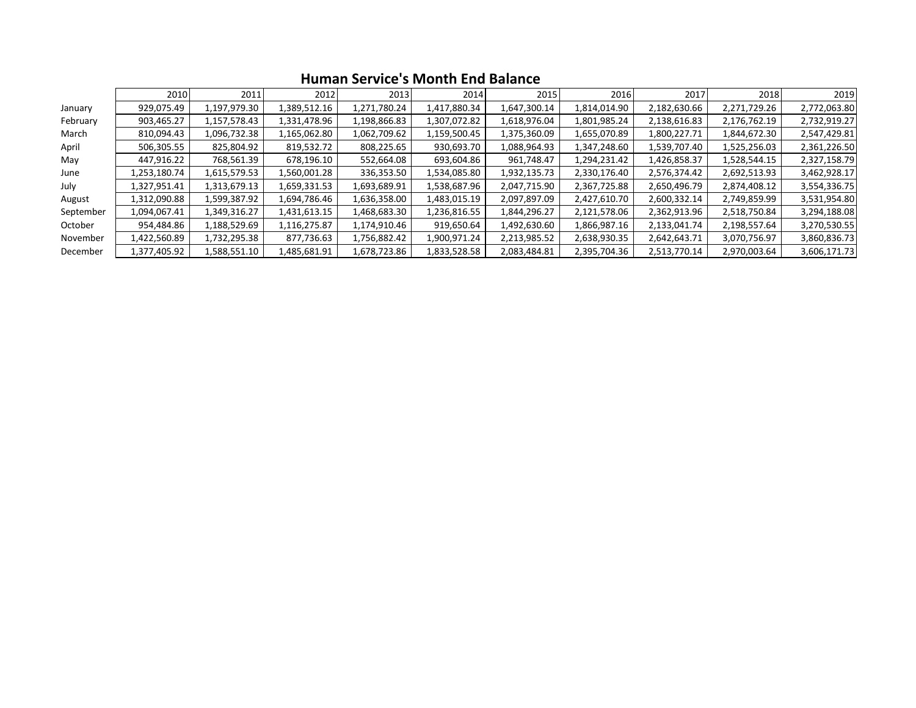|           | 2010         | 2011         | 2012         | 2013         | 2014         | 2015         | 2016         | 2017         | 2018         | 2019         |
|-----------|--------------|--------------|--------------|--------------|--------------|--------------|--------------|--------------|--------------|--------------|
| January   | 929,075.49   | 1,197,979.30 | 1,389,512.16 | 1,271,780.24 | 1,417,880.34 | 1,647,300.14 | 1,814,014.90 | 2,182,630.66 | 2,271,729.26 | 2,772,063.80 |
| February  | 903,465.27   | 1,157,578.43 | 1,331,478.96 | 1,198,866.83 | 1,307,072.82 | 1,618,976.04 | 1,801,985.24 | 2,138,616.83 | 2,176,762.19 | 2,732,919.27 |
| March     | 810,094.43   | 1,096,732.38 | 1,165,062.80 | 1,062,709.62 | 1,159,500.45 | 1,375,360.09 | 1,655,070.89 | 1,800,227.71 | 1,844,672.30 | 2,547,429.81 |
| April     | 506,305.55   | 825,804.92   | 819,532.72   | 808,225.65   | 930,693.70   | 1,088,964.93 | 1,347,248.60 | 1,539,707.40 | 1,525,256.03 | 2,361,226.50 |
| May       | 447,916.22   | 768,561.39   | 678,196.10   | 552,664.08   | 693,604.86   | 961,748.47   | 1,294,231.42 | 1,426,858.37 | 1,528,544.15 | 2,327,158.79 |
| June      | 1,253,180.74 | 1,615,579.53 | 1,560,001.28 | 336,353.50   | 1,534,085.80 | 1,932,135.73 | 2,330,176.40 | 2,576,374.42 | 2,692,513.93 | 3,462,928.17 |
| July      | 1,327,951.41 | 1,313,679.13 | 1,659,331.53 | 1,693,689.91 | 1,538,687.96 | 2,047,715.90 | 2,367,725.88 | 2,650,496.79 | 2,874,408.12 | 3,554,336.75 |
| August    | 1,312,090.88 | 1,599,387.92 | 1,694,786.46 | 1,636,358.00 | 1,483,015.19 | 2,097,897.09 | 2,427,610.70 | 2,600,332.14 | 2,749,859.99 | 3,531,954.80 |
| September | 1,094,067.41 | 1,349,316.27 | 1,431,613.15 | 1,468,683.30 | 1,236,816.55 | 1,844,296.27 | 2,121,578.06 | 2,362,913.96 | 2,518,750.84 | 3,294,188.08 |
| October   | 954,484.86   | 1,188,529.69 | 1,116,275.87 | 1,174,910.46 | 919,650.64   | 1,492,630.60 | 1,866,987.16 | 2,133,041.74 | 2,198,557.64 | 3,270,530.55 |
| November  | 1,422,560.89 | 1,732,295.38 | 877,736.63   | 1,756,882.42 | 1,900,971.24 | 2,213,985.52 | 2,638,930.35 | 2,642,643.71 | 3,070,756.97 | 3,860,836.73 |
| December  | 1,377,405.92 | 1,588,551.10 | 1,485,681.91 | 1,678,723.86 | 1,833,528.58 | 2,083,484.81 | 2,395,704.36 | 2,513,770.14 | 2,970,003.64 | 3,606,171.73 |

### **Human Service's Month End Balance**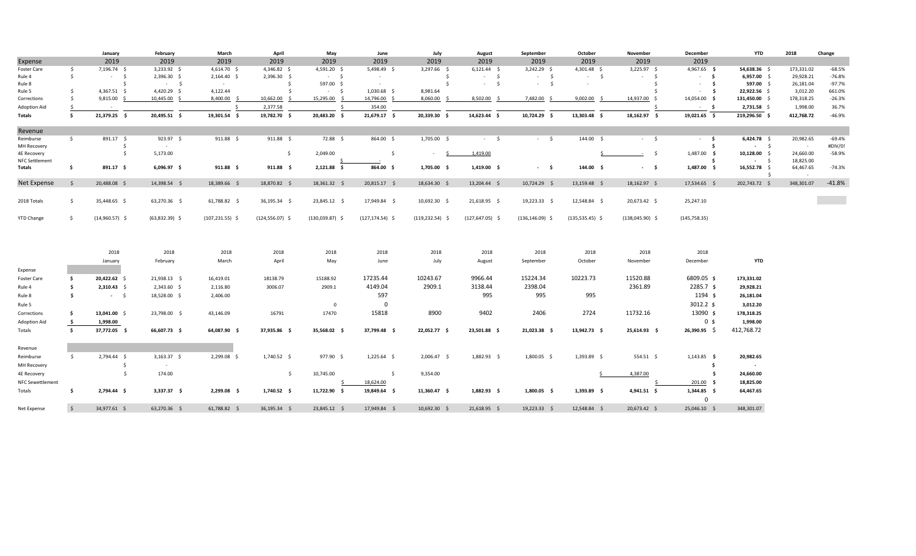|                         |               | January          | February         | March              | April              | May               | June                | July               | August             | September          | October           | November          | December       | <b>YTD</b>              | 2018                | Change   |
|-------------------------|---------------|------------------|------------------|--------------------|--------------------|-------------------|---------------------|--------------------|--------------------|--------------------|-------------------|-------------------|----------------|-------------------------|---------------------|----------|
| Expense                 |               | 2019             | 2019             | 2019               | 2019               | 2019              | 2019                | 2019               | 2019               | 2019               | 2019              | 2019              | 2019           |                         |                     |          |
| Foster Care             | \$            | 7,196.74 \$      | 3,233.92 \$      | 4,614.70 \$        | 4,346.82 \$        | 4,591.20 \$       | 5,498.49 \$         | 3,297.66 \$        | $6,121.44$ \$      | $3,242.29$ \$      | 4,301.48 \$       | $3,225.97$ \$     | 4,967.65 \$    | 54,638.36 \$            | 173,331.02          | $-68.5%$ |
| Rule 4                  | \$            | $-5$             | 2,396.30 \$      | $2,164.40$ \$      | 2,396.30 \$        | $-5$              | $\sim$              | \$                 | $-5$               | $-5$               | $-5$              | $-5$              | $-5$           | $6,957.00$ \$           | 29,928.21           | $-76.8%$ |
| Rule 8                  |               | $\mathsf{S}$     | $-5$             | $\sim$             | Ŝ.                 | 597.00 \$         | $\sim$ $-$          | s.                 | $-5$               | $-5$               |                   | S.                | $-5$           | 597.00 \$               | 26,181.04           | $-97.7%$ |
| Rule 5                  | Ŝ.            | $4,367.51$ \$    | 4,420.29 \$      | 4,122.44           | \$                 | $-5$              | $1,030.68$ \$       | 8,981.64           |                    |                    |                   |                   | - \$<br>$\sim$ | 22,922.56 \$            | 3,012.20            | 661.0%   |
| Corrections             | Ŝ.            | $9,815.00$ \$    | 10,445.00 \$     | 8,400.00 \$        | 10,662.00          | 15,295.00 \$      | 14,796.00 \$        | 8,060.00 \$        | 8,502.00           | 7,482.00           | 9,002.00          | 14,937.00 \$      | 14,054.00 \$   | 131,450.00 \$           | 178,318.25          | $-26.3%$ |
| Adoption Aid            | Ŝ.            | $\sim$ $ \sim$   |                  | <sup>\$</sup>      | 2,377.58           |                   | 354.00              |                    |                    |                    |                   |                   | $-5$           | $2,731.58$ \$           | 1,998.00            | 36.7%    |
| Totals                  | \$            | 21,379.25 \$     | 20,495.51 \$     | 19,301.54 \$       | 19,782.70 \$       | 20,483.20 \$      | 21,679.17 \$        | 20,339.30 \$       | 14,623.44 \$       | 10,724.29 \$       | 13,303.48 \$      | 18,162.97 \$      | 19,021.65 \$   | 219,296.50 \$           | 412,768.72          | $-46.9%$ |
| Revenue                 |               |                  |                  |                    |                    |                   |                     |                    |                    |                    |                   |                   |                |                         |                     |          |
| Reimburse               | $\frac{1}{2}$ | 891.17 \$        | 923.97 \$        | $911.88 \quad $$   | $911.88 \quad $$   | 72.88 \$          | 864.00 \$           | 1,705.00 \$        | $-5$               | $-5$               | 144.00 \$         | $-5$              | $-5$           | $6,424.78$ \$           | 20,982.65           | $-69.4%$ |
| MH Recovery             |               | -\$              | $\sim$ $-$       |                    |                    |                   |                     |                    |                    |                    |                   |                   | Ŝ.             | $-5$                    | $\sim$              | #DIV/0!  |
| 4E Recovery             |               | \$               | 5,173.00         |                    | $\mathsf{S}$       | 2,049.00          | \$                  | S.<br>$\sim$       | 1,419.00           |                    |                   | $-5$              | 1,487.00 \$    | $10,128.00$ \$          | 24,660.00           | $-58.9%$ |
| <b>NFC Settlement</b>   |               |                  |                  |                    |                    |                   |                     |                    |                    |                    |                   |                   | Ś.             | $-5$                    | 18,825.00           |          |
| <b>Totals</b>           | -\$           | $891.17$ \$      | $6,096.97$ \$    | $911.88 \quad $$   | $911.88$ \$        | 2,121.88 \$       | 864.00 \$           | $1,705.00$ \$      | $1,419.00$ \$      | $-5$               | 144.00 \$         | $-5$              | 1,487.00 \$    | 16,552.78 \$<br>- S     | 64,467.65<br>$\sim$ | $-74.3%$ |
| Net Expense             | -Ś            | 20,488.08 \$     | 14,398.54 \$     | 18,389.66 \$       | 18,870.82 \$       | 18,361.32 \$      | 20,815.17 \$        | 18,634.30 \$       | 13,204.44 \$       | $10,724.29$ \$     | 13,159.48 \$      | 18,162.97 \$      | 17,534.65 \$   | 202,743.72 \$           | 348,301.07          | $-41.8%$ |
|                         |               |                  |                  |                    |                    |                   |                     |                    |                    |                    |                   |                   |                |                         |                     |          |
| 2018 Totals             | \$            | 35,448.65 \$     | 63,270.36 \$     | 61,788.82 \$       | 36,195.34 \$       | 23,845.12 \$      | 17,949.84 \$        | 10,692.30 \$       | 21,618.95 \$       | 19,223.33 \$       | 12,548.84 \$      | 20,673.42 \$      | 25,247.10      |                         |                     |          |
| <b>YTD Change</b>       | -\$           | $(14,960.57)$ \$ | $(63,832.39)$ \$ | $(107, 231.55)$ \$ | $(124, 556.07)$ \$ | $(130,039.87)$ \$ | $(127, 174.54)$ \$  | $(119, 232.54)$ \$ | $(127, 647.05)$ \$ | $(136, 146.09)$ \$ | $(135,535.45)$ \$ | $(138,045.90)$ \$ | (145, 758.35)  |                         |                     |          |
|                         |               |                  |                  |                    |                    |                   |                     |                    |                    |                    |                   |                   |                |                         |                     |          |
|                         |               | 2018             | 2018             | 2018               | 2018               | 2018              | 2018                | 2018               | 2018               | 2018               | 2018              | 2018              | 2018           |                         |                     |          |
|                         |               | January          | February         | March              | April              | May               | June                | July               | August             | September          | October           | November          | December       | <b>YTD</b>              |                     |          |
| Expense                 |               |                  |                  |                    |                    |                   |                     |                    |                    |                    |                   |                   |                |                         |                     |          |
| Foster Care             | \$            | 20,422.62 \$     | 21,938.13 \$     | 16,419.01          | 18138.79           | 15188.92          | 17235.44            | 10243.67           | 9966.44            | 15224.34           | 10223.73          | 11520.88          | 6809.05 \$     | 173,331.02              |                     |          |
| Rule 4                  | \$.           | $2,310.43$ \$    | $2,343.60$ \$    | 2,116.80           | 3006.07            | 2909.1            | 4149.04             | 2909.1             | 3138.44            | 2398.04            |                   | 2361.89           | 2285.7 \$      | 29,928.21               |                     |          |
| Rule 8                  | Ŝ.            | $-5$             | 18,528.00 \$     | 2,406.00           |                    |                   | 597                 |                    | 995                | 995                | 995               |                   | 1194 \$        | 26,181.04               |                     |          |
|                         |               |                  |                  |                    |                    |                   |                     |                    |                    |                    |                   |                   |                |                         |                     |          |
| Rule 5                  |               |                  |                  |                    |                    | $\mathbf 0$       | $\mathbf 0$         |                    |                    |                    |                   |                   | $3012.2$ \$    | 3,012.20                |                     |          |
| Corrections             | - \$          | 13,041.00 \$     | 23,798.00 \$     | 43,146.09          | 16791              | 17470             | 15818               | 8900               | 9402               | 2406               | 2724              | 11732.16          | 13090 \$       | 178,318.25              |                     |          |
| <b>Adoption Aid</b>     | \$            | 1,998.00         |                  |                    |                    |                   |                     |                    |                    |                    |                   |                   | 0 <sub>s</sub> | 1,998.00                |                     |          |
| Totals                  | \$            | 37,772.05 \$     | 66,607.73 \$     | 64,087.90 \$       | 37,935.86 \$       | 35,568.02 \$      | 37,799.48 \$        | 22,052.77 \$       | 23,501.88 \$       | $21,023.38$ \$     | 13,942.73 \$      | 25,614.93 \$      | $26,390.95$ \$ | 412,768.72              |                     |          |
| Revenue                 |               |                  |                  |                    |                    |                   |                     |                    |                    |                    |                   |                   |                |                         |                     |          |
| Reimburse               | \$            | 2,794.44 \$      | $3,163.37$ \$    | 2,299.08 \$        | 1,740.52 \$        | 977.90 \$         | $1,225.64$ \$       | 2,006.47 \$        | 1,882.93 \$        | 1,800.05 \$        | 1,393.89 \$       | 554.51 \$         | $1,143.85$ \$  | 20,982.65               |                     |          |
| MH Recovery             |               | \$               | $\sim$           |                    |                    |                   |                     |                    |                    |                    |                   |                   | -\$            | $\sim 100$ km s $^{-1}$ |                     |          |
| 4E Recovery             |               | \$               | 174.00           |                    | \$                 | 10,745.00         | $\ddot{\mathsf{S}}$ | 9,354.00           |                    |                    |                   | 4,387.00          | \$             | 24,660.00               |                     |          |
| <b>NFC Sewettlement</b> |               |                  |                  |                    |                    |                   | 18,624.00           |                    |                    |                    |                   |                   | $201.00$ \$    | 18,825.00               |                     |          |
| Totals                  | \$            | 2,794.44 \$      | $3,337.37$ \$    | 2,299.08 \$        | $1,740.52$ \$      | 11,722.90 \$      | 19,849.64 \$        | $11,360.47$ \$     | $1,882.93$ \$      | $1,800.05$ \$      | $1,393.89$ \$     | $4,941.51$ \$     | 1,344.85 \$    | 64,467.65               |                     |          |
|                         |               |                  |                  |                    |                    |                   |                     |                    |                    |                    |                   |                   | $\Omega$       |                         |                     |          |
| Net Expense             | $\prec$       | 34,977.61 \$     | 63,270.36 \$     | 61,788.82 \$       | 36,195.34 \$       | 23,845.12 \$      | 17,949.84 \$        | 10,692.30 \$       | $21,618.95$ \$     | 19,223.33 \$       | 12,548.84 \$      | 20,673.42 \$      | 25,046.10 \$   | 348,301.07              |                     |          |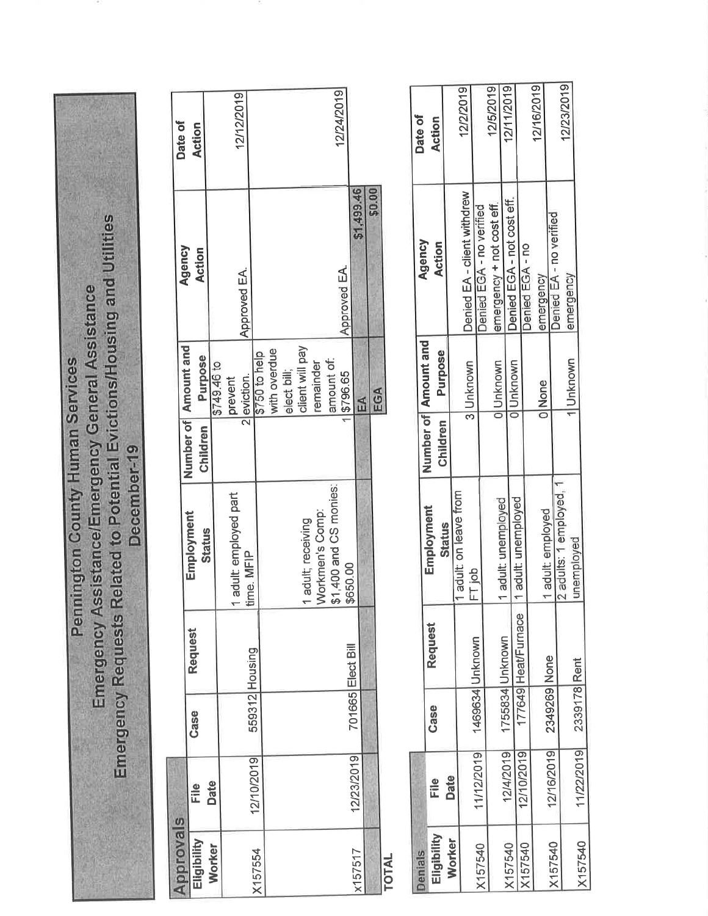Emergency Requests Related to Potential Evictions/Housing and Utilities Emergency Assistance/Emergency General Assistance **Pennington County Human Services** December-19

| pprovals      |             |      |                   |                        |          |                                   |                         | Date of       |
|---------------|-------------|------|-------------------|------------------------|----------|-----------------------------------|-------------------------|---------------|
| Wilidigit     | <u>Eile</u> | Case | Request           | Employment             | Children | Number of   Amount and<br>Purpose | Agency<br><b>Action</b> | <b>Action</b> |
| Worker        | <b>Date</b> |      |                   | <b>Status</b>          |          |                                   |                         |               |
|               |             |      |                   |                        |          | \$749.46 to                       |                         |               |
|               |             |      |                   | adult: employed part   |          | prevent                           |                         |               |
|               |             |      |                   | ime. MFIP              |          | 2 eviction.                       | Approved EA.            | 12/12/2019    |
| 157554        | 12/10/2019  |      | 559312 Housing    |                        |          | \$750 to help                     |                         |               |
|               |             |      |                   |                        |          | with overdue                      |                         |               |
|               |             |      |                   |                        |          | elect bill;                       |                         |               |
|               |             |      |                   |                        |          |                                   |                         |               |
|               |             |      |                   | adult; receiving       |          | client will pay                   |                         |               |
|               |             |      |                   | <b>Norkmen's Comp:</b> |          | remainder                         |                         |               |
|               |             |      |                   | \$1,400 and CS monies: |          | amount of:                        |                         |               |
|               |             |      |                   |                        |          | \$796.65                          | Approved EA.            | 12/24/2019    |
| 157517        | 12/23/2019  |      | 701665 Elect Bill | \$650.00               |          |                                   |                         |               |
|               |             |      |                   |                        |          | EA                                | \$1,499.46              |               |
|               |             |      |                   |                        |          | EGA                               | \$0.00                  |               |
|               |             |      |                   |                        |          |                                   |                         |               |
| <b>NTOTAL</b> |             |      |                   |                        |          |                                   |                         |               |

| Denials     |                         |                 |                     |                      |          |                                 | Agency                      | Date of       |
|-------------|-------------------------|-----------------|---------------------|----------------------|----------|---------------------------------|-----------------------------|---------------|
| Eligibility | File                    | Case            | <b>Request</b>      | Employment           | Children | Number of Amount and<br>Purpose | <b>Action</b>               | <b>Action</b> |
| Worker      | Date                    |                 |                     | <b>Status</b>        |          |                                 |                             |               |
|             |                         |                 |                     | adult: on leave from |          |                                 | Denied EA - client withdrew | 12/2/2019     |
|             | 11/12/2019              | 1469634 Unknown |                     | $\frac{1}{1}$ ob     |          | 3 Unknown                       |                             |               |
| X157540     |                         |                 |                     |                      |          |                                 | Denied EGA - no verified    |               |
|             |                         |                 |                     |                      |          | OlUnknown                       | emergency + not cost eff.   | 12/5/2019     |
| V157540     | 12/4/2019               |                 | 1755834 Unknown     | adult: unemployed    |          |                                 |                             | 12/11/2019    |
|             |                         |                 |                     | adult: unemployed    |          | Unknown                         | Denied EGA - not cost eff.  |               |
| X157540     | 12/10/2019              |                 | 177649 Heat/Furnace |                      |          |                                 | Denied EGA - no             |               |
|             |                         |                 |                     |                      |          |                                 |                             | 12/16/2019    |
|             |                         |                 |                     | adult: employed      |          | <b>INone</b>                    | emergency                   |               |
| IX157540    | 12/16/2019 2349269 None |                 |                     |                      |          |                                 | Denied EA - no verified     |               |
|             |                         |                 |                     | adults: 1 employed,  |          |                                 |                             | 12/23/2019    |
|             |                         |                 |                     | inemployed           |          | 1lUnknown                       | emergency                   |               |
| X157540     | 11/22/2019              | 2339178 Rent    |                     |                      |          |                                 |                             |               |
|             |                         |                 |                     |                      |          |                                 |                             |               |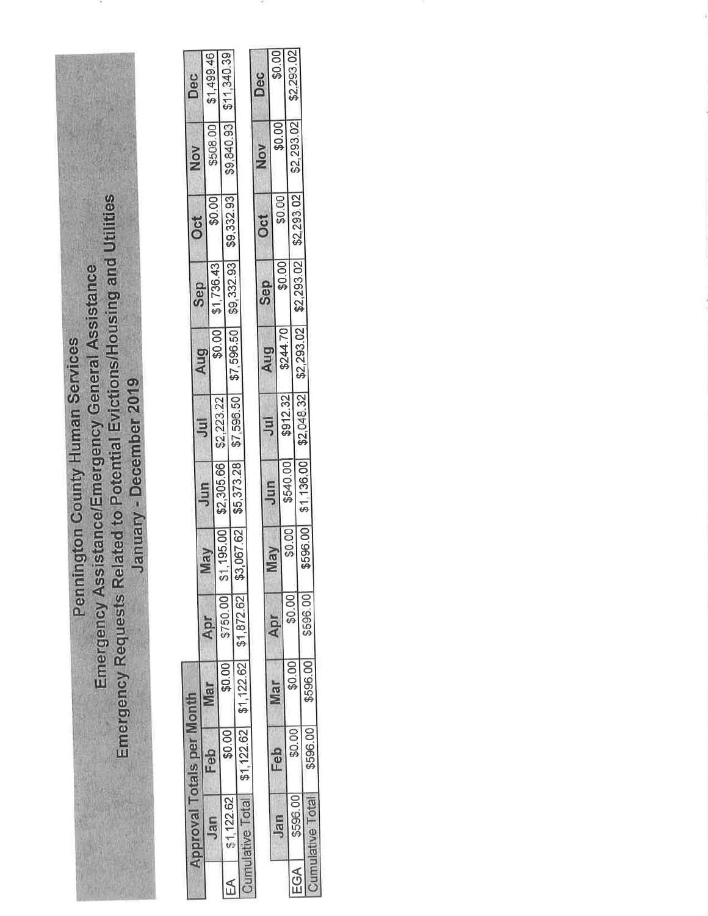| Pennington County Human Services | Emergency Assistance/Emergency General Assistance | Emergency Requests Related to Potential Evictions/Housing and Utilities | January - December 2019 |
|----------------------------------|---------------------------------------------------|-------------------------------------------------------------------------|-------------------------|
|                                  |                                                   |                                                                         |                         |
|                                  |                                                   |                                                                         |                         |
|                                  |                                                   |                                                                         |                         |

 $\sim$ 

| <b>Approval Totals per Month</b> |                                            |        |          |    |                   |                                                                      |     |                   |          | Nov        | Dec                 |
|----------------------------------|--------------------------------------------|--------|----------|----|-------------------|----------------------------------------------------------------------|-----|-------------------|----------|------------|---------------------|
|                                  |                                            |        |          |    |                   | Jul                                                                  | Aug | <b>Sep</b>        | Oct      |            |                     |
|                                  | Feb                                        | Mar    | Apr      | Ve | Jun               |                                                                      |     |                   |          |            | \$508.00 \$1,499.46 |
| Jan                              |                                            |        |          |    |                   |                                                                      |     | \$0.00 \$1,736.43 | \$0.00   |            |                     |
|                                  |                                            |        |          |    |                   | \$2,223.22                                                           |     |                   |          |            |                     |
|                                  | \$0.00                                     | \$0.00 | \$750.00 |    | 195.00 \$2,305.66 |                                                                      |     |                   |          | \$9,840.93 | \$11,340.39         |
| \$1,122.62                       |                                            |        |          |    |                   | $3.067.62$ \$5,373.28 \$7,596.50 \$7,596.50 \$9,332.93 \$9,332.93 \$ |     |                   |          |            |                     |
|                                  |                                            |        |          |    |                   |                                                                      |     |                   |          |            |                     |
| Lettive Total                    | $$1,122.62$ $$1,122.62$ $$1,872.62$ $$3.6$ |        |          |    |                   |                                                                      |     |                   |          |            |                     |
|                                  |                                            |        |          |    |                   |                                                                      |     |                   |          |            |                     |
|                                  |                                            |        |          |    |                   |                                                                      |     |                   |          | Nou        | Dec                 |
|                                  |                                            |        |          |    |                   |                                                                      |     |                   | $\sim 4$ |            |                     |

|     |           |          |          |        |        |          | $\overline{5}$ | Aug      | dac                                                    | วีย       | <b>NANI</b> | )<br>)<br>] |
|-----|-----------|----------|----------|--------|--------|----------|----------------|----------|--------------------------------------------------------|-----------|-------------|-------------|
|     |           | Eeb      | Viar     | Apr    | VBI    | Jun      |                |          |                                                        |           |             |             |
|     | Jan       |          |          |        |        |          |                |          | \$0.00]                                                | \$0.00    | \$0.00      | \$0.00]     |
|     |           |          |          |        | \$0.00 | \$540.00 | \$912.32       | \$244.70 |                                                        |           |             |             |
|     | $-596.0c$ | \$0.00   | \$0.00   | \$0.00 |        |          |                |          |                                                        |           | \$2,293.02  | \$2,293.02  |
| EGA |           |          |          |        |        |          |                |          |                                                        | S2,293.02 |             |             |
|     |           |          | \$596.00 | 596.00 |        |          |                |          | \$596.00 \$1,136.00 \$2,048.32 \$2,293.02 \$2,293.02 + |           |             |             |
|     |           | \$596.00 |          |        |        |          |                |          |                                                        |           |             |             |
|     |           |          |          |        |        |          |                |          |                                                        |           |             |             |

œ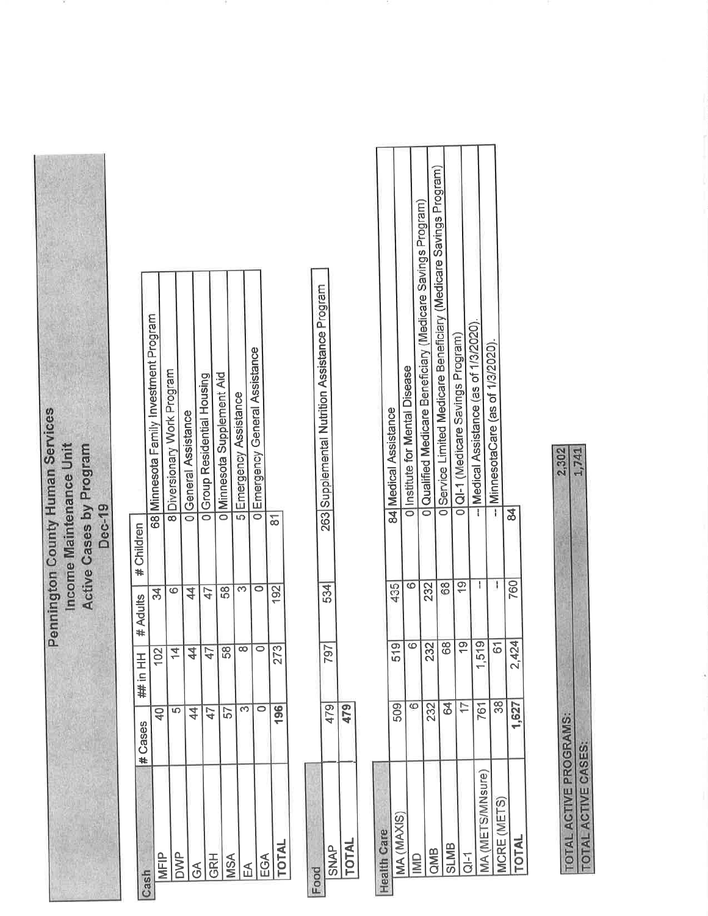Pennington County Human Services Income Maintenance Unit Active Cases by Program **Dec-19** 

|                  | #Cases         | 一五日井           | # Adults        | # Children |                                        |
|------------------|----------------|----------------|-----------------|------------|----------------------------------------|
|                  |                |                |                 |            |                                        |
|                  | $\frac{1}{2}$  | 102            | 34              |            | 68 Minnesota Family Investment Program |
|                  |                |                |                 |            | 8 Diversionary Work Program            |
| <b>NNC</b>       | ഥ              | $\overline{4}$ |                 |            |                                        |
|                  | $\overline{4}$ | $\frac{4}{3}$  |                 |            | <b>I</b> General Assistance            |
| λς               |                |                |                 |            |                                        |
| <b>GRH</b>       | 47             | $\bar{4}$      | $\overline{47}$ |            | 1 Group Residential Housing            |
|                  |                |                |                 |            |                                        |
| <b>ASA</b>       | 57             | 58             | 58              |            | <b>O Minnesota Supplement Aid</b>      |
|                  |                |                |                 |            |                                        |
|                  |                |                |                 |            | 5 Emergency Assistance                 |
|                  |                |                |                 |            |                                        |
| $\frac{1}{2}$ GA |                |                |                 |            | <b>JEmergency General Assistance</b>   |
|                  |                |                |                 |            |                                        |
| <b>NTA</b>       | 196            | 273            | 192             | 81         |                                        |
|                  |                |                |                 |            |                                        |

|                | í<br>$\overline{p}$   | ה<br>ז<br>ŋ | 534 | <b>A</b><br>Alberta<br>$\ddotsc$<br>263<br>ì |
|----------------|-----------------------|-------------|-----|----------------------------------------------|
| ֧֧֧֓֟֓֟֓֓֓֓׆֬֓ | .<br>ት<br>ተ<br>ì<br>İ |             |     |                                              |

| <b>Balli</b> Vdle  |      |                          |     |                                                                  |
|--------------------|------|--------------------------|-----|------------------------------------------------------------------|
|                    | 509  | $\frac{5}{9}$            | 435 | 84   Medical Assistance                                          |
| MA (MAXIS)         |      |                          |     |                                                                  |
|                    | ĊΣ   | ဖ                        | œ   | Ollnstitute for Mental Disease                                   |
| $\frac{1}{2}$      |      |                          |     | ol Qualified Medicare Beneficiary (Medicare Savings Program)     |
|                    | 232  | 232                      | 232 |                                                                  |
| aMB                |      |                          |     |                                                                  |
|                    | 84   | $\overline{68}$          | 68  | IService Limited Medicare Beneficiary (Medicare Savings Program) |
| <b>SLMB</b>        |      |                          |     |                                                                  |
|                    |      |                          |     | 1 QI-1 (Medicare Savings Program)                                |
| $\frac{1}{2}$      |      |                          |     |                                                                  |
|                    | 761  | .519                     |     | - Medical Assistance (as of 1/3/2020)                            |
| MFTS/MNsure        |      |                          |     |                                                                  |
|                    |      | <u>ნ</u>                 |     | - MinnesotaCare (as of 1/3/2020)                                 |
| <b>ICRE (METS)</b> |      |                          |     |                                                                  |
| <b>N1O</b>         | .627 | 424 <br>$\mathrel{\sim}$ | 760 |                                                                  |
|                    |      |                          |     |                                                                  |
|                    |      |                          |     |                                                                  |